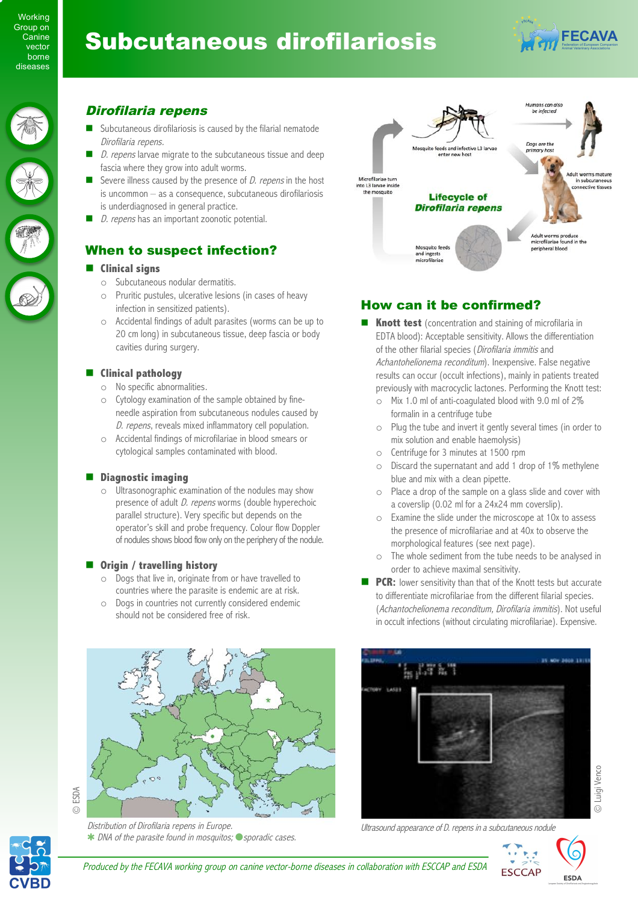# Subcutaneous dirofilariosis



# Dirofilaria repens

- $\blacksquare$  Subcutaneous dirofilariosis is caused by the filarial nematode Dirofilaria repens.
- D. repens larvae migrate to the subcutaneous tissue and deep fascia where they grow into adult worms.
- Severe illness caused by the presence of *D. repens* in the host is uncommon – as a consequence, subcutaneous dirofilariosis is underdiagnosed in general practice.
- $\Box$  D. repens has an important zoonotic potential.

# When to suspect infection?

#### $\blacksquare$  Clinical signs

- o Subcutaneous nodular dermatitis.
- o Pruritic pustules, ulcerative lesions (in cases of heavy infection in sensitized patients).
- o Accidental findings of adult parasites (worms can be up to 20 cm long) in subcutaneous tissue, deep fascia or body cavities during surgery.

## ! **Clinical pathology**

- o No specific abnormalities.
- o Cytology examination of the sample obtained by fineneedle aspiration from subcutaneous nodules caused by D. repens, reveals mixed inflammatory cell population.
- o Accidental findings of microfilariae in blood smears or cytological samples contaminated with blood.

## $\blacksquare$  Diagnostic imaging

o Ultrasonographic examination of the nodules may show presence of adult *D. repens* worms (double hyperechoic parallel structure). Very specific but depends on the operator's skill and probe frequency. Colour flow Doppler of nodules shows blood flow only on the periphery of the nodule.

## ■ Origin / travelling history

- o Dogs that live in, originate from or have travelled to countries where the parasite is endemic are at risk.
- o Dogs in countries not currently considered endemic should not be considered free of risk.





© ESDA

Distribution of Dirofilaria repens in Europe.  $★$  DNA of the parasite found in mosquitos; ● sporadic cases.



# How can it be confirmed?

- **Knott test** (concentration and staining of microfilaria in EDTA blood): Acceptable sensitivity. Allows the differentiation of the other filarial species (*Dirofilaria immitis* and Achantohelionema reconditum). Inexpensive. False negative results can occur (occult infections), mainly in patients treated previously with macrocyclic lactones. Performing the Knott test:
	- o Mix 1.0 ml of anti-coagulated blood with 9.0 ml of 2% formalin in a centrifuge tube
	- o Plug the tube and invert it gently several times (in order to mix solution and enable haemolysis)
	- o Centrifuge for 3 minutes at 1500 rpm
	- o Discard the supernatant and add 1 drop of 1% methylene blue and mix with a clean pipette.
	- o Place a drop of the sample on a glass slide and cover with a coverslip (0.02 ml for a 24x24 mm coverslip).
	- o Examine the slide under the microscope at 10x to assess the presence of microfilariae and at 40x to observe the morphological features (see next page).
	- o The whole sediment from the tube needs to be analysed in order to achieve maximal sensitivity.
- **PCR:** lower sensitivity than that of the Knott tests but accurate to differentiate microfilariae from the different filarial species. (Achantochelionema reconditum, Dirofilaria immitis). Not useful in occult infections (without circulating microfilariae). Expensive.



**D** Luigi Venco © Luigi Venco

Ultrasound appearance of D. repens in a subcutaneous nodule